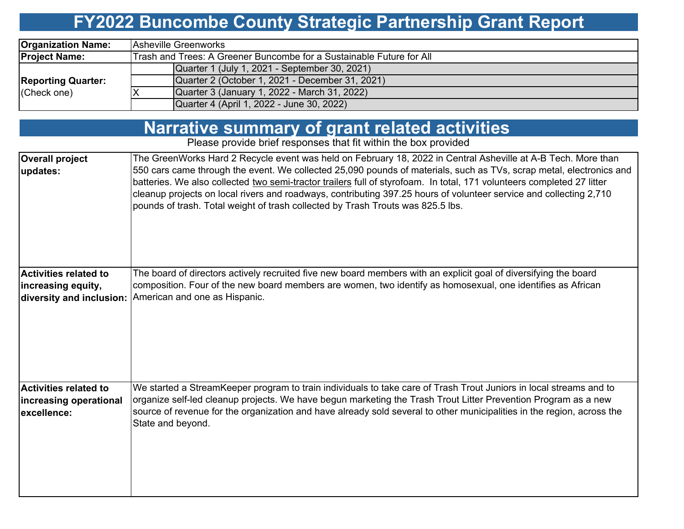# **FY2022 Buncombe County Strategic Partnership Grant Report**

| <b>Organization Name:</b> | <b>IAsheville Greenworks</b>                                         |  |  |  |  |  |  |
|---------------------------|----------------------------------------------------------------------|--|--|--|--|--|--|
| <b>Project Name:</b>      | Trash and Trees: A Greener Buncombe for a Sustainable Future for All |  |  |  |  |  |  |
|                           | Quarter 1 (July 1, 2021 - September 30, 2021)                        |  |  |  |  |  |  |
| <b>Reporting Quarter:</b> | Quarter 2 (October 1, 2021 - December 31, 2021)                      |  |  |  |  |  |  |
| (Check one)               | Quarter 3 (January 1, 2022 - March 31, 2022)                         |  |  |  |  |  |  |
|                           | Quarter 4 (April 1, 2022 - June 30, 2022)                            |  |  |  |  |  |  |

### **Narrative summary of grant related activities**

Please provide brief responses that fit within the box provided

| <b>Overall project</b><br>updates:                                      | The GreenWorks Hard 2 Recycle event was held on February 18, 2022 in Central Asheville at A-B Tech. More than<br>550 cars came through the event. We collected 25,090 pounds of materials, such as TVs, scrap metal, electronics and<br>batteries. We also collected two semi-tractor trailers full of styrofoam. In total, 171 volunteers completed 27 litter<br>cleanup projects on local rivers and roadways, contributing 397.25 hours of volunteer service and collecting 2,710<br>pounds of trash. Total weight of trash collected by Trash Trouts was 825.5 lbs. |
|-------------------------------------------------------------------------|-------------------------------------------------------------------------------------------------------------------------------------------------------------------------------------------------------------------------------------------------------------------------------------------------------------------------------------------------------------------------------------------------------------------------------------------------------------------------------------------------------------------------------------------------------------------------|
| Activities related to<br>increasing equity,<br>diversity and inclusion: | The board of directors actively recruited five new board members with an explicit goal of diversifying the board<br>composition. Four of the new board members are women, two identify as homosexual, one identifies as African<br>American and one as Hispanic.                                                                                                                                                                                                                                                                                                        |
| <b>Activities related to</b><br>increasing operational<br>excellence:   | We started a StreamKeeper program to train individuals to take care of Trash Trout Juniors in local streams and to<br>organize self-led cleanup projects. We have begun marketing the Trash Trout Litter Prevention Program as a new<br>source of revenue for the organization and have already sold several to other municipalities in the region, across the<br>State and beyond.                                                                                                                                                                                     |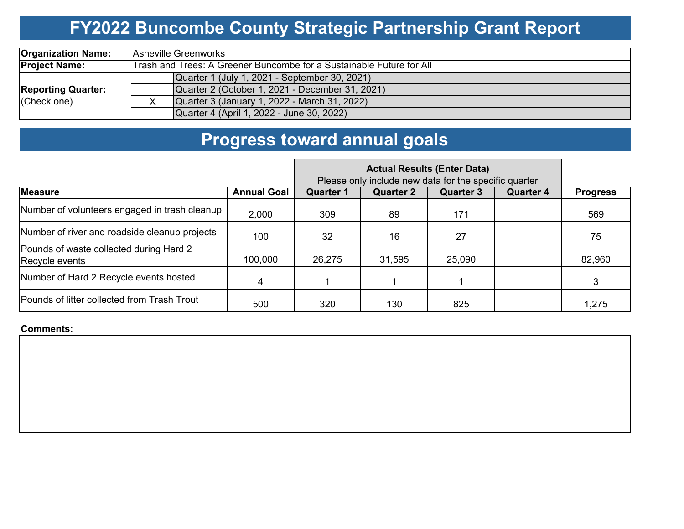# **FY2022 Buncombe County Strategic Partnership Grant Report**

| <b>Organization Name:</b> | <b>Asheville Greenworks</b>                                          |  |  |  |  |  |  |
|---------------------------|----------------------------------------------------------------------|--|--|--|--|--|--|
| <b>Project Name:</b>      | Trash and Trees: A Greener Buncombe for a Sustainable Future for All |  |  |  |  |  |  |
|                           | Quarter 1 (July 1, 2021 - September 30, 2021)                        |  |  |  |  |  |  |
| <b>Reporting Quarter:</b> | Quarter 2 (October 1, 2021 - December 31, 2021)                      |  |  |  |  |  |  |
| (Check one)               | Quarter 3 (January 1, 2022 - March 31, 2022)                         |  |  |  |  |  |  |
|                           | Quarter 4 (April 1, 2022 - June 30, 2022)                            |  |  |  |  |  |  |

## **Progress toward annual goals**

|                                                           | Please only include new data for the specific quarter |                  |                  |                  |                  |                 |
|-----------------------------------------------------------|-------------------------------------------------------|------------------|------------------|------------------|------------------|-----------------|
| <b>Measure</b>                                            | <b>Annual Goal</b>                                    | <b>Quarter 1</b> | <b>Quarter 2</b> | <b>Quarter 3</b> | <b>Quarter 4</b> | <b>Progress</b> |
| Number of volunteers engaged in trash cleanup             | 2,000                                                 | 309              | 89               | 171              |                  | 569             |
| Number of river and roadside cleanup projects             | 100                                                   | 32               | 16               | 27               |                  | 75              |
| Pounds of waste collected during Hard 2<br>Recycle events | 100,000                                               | 26,275           | 31,595           | 25,090           |                  | 82,960          |
| Number of Hard 2 Recycle events hosted                    | 4                                                     |                  |                  |                  |                  |                 |
| Pounds of litter collected from Trash Trout               | 500                                                   | 320              | 130              | 825              |                  | 1,275           |

#### **Comments:**